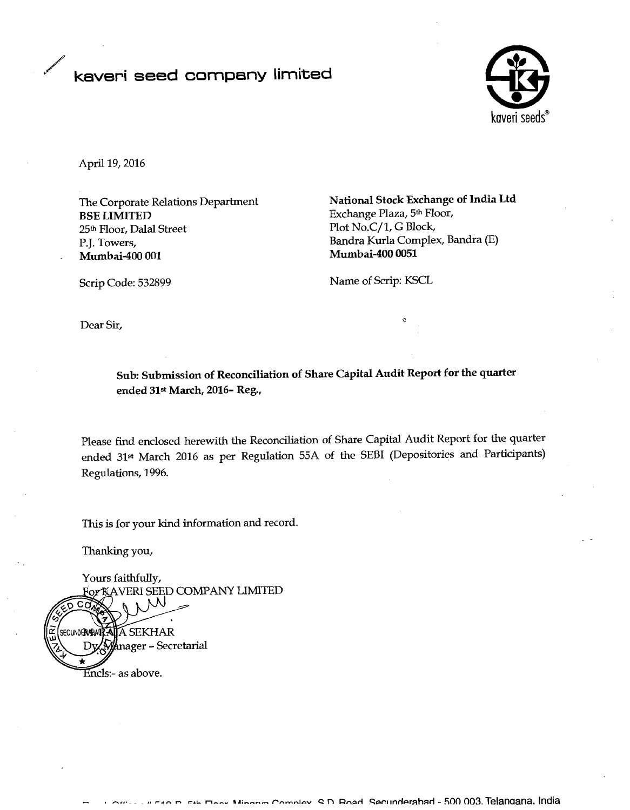## / **kaveri seed company limited**



April 19,2016

**BSE LIMITED** Exchange Plaza, 5<sup>th</sup> Floor, 25<sup>th</sup> Floor, Dalal Street Plot No.C/1, G Block, P.J. Towers, Bandra Kurla Complex, Bandra (E) **Murnbai-400 001 Mumbai-400 0051** 

The Corporate Relations Department **National Stock Exchange of India Ltd** 

Scrip Code: 532899 Name of Scrip: KSCL

 $\alpha$  Dear Sir,

**Sub: Submission of Reconciliation of Share Capital Audit Report for the quarter ended 31st March, 2016- Reg.,** 

Please find enclosed herewith the Reconcdiation of Share Capital Audit Report for the quarter ended 31<sup>st</sup> March 2016 as per Regulation 55A of the SEBI (Depositories and Participants) Regulations, 1996.

This is for your kind information and record.

Thanking you,

Yours faithfully,

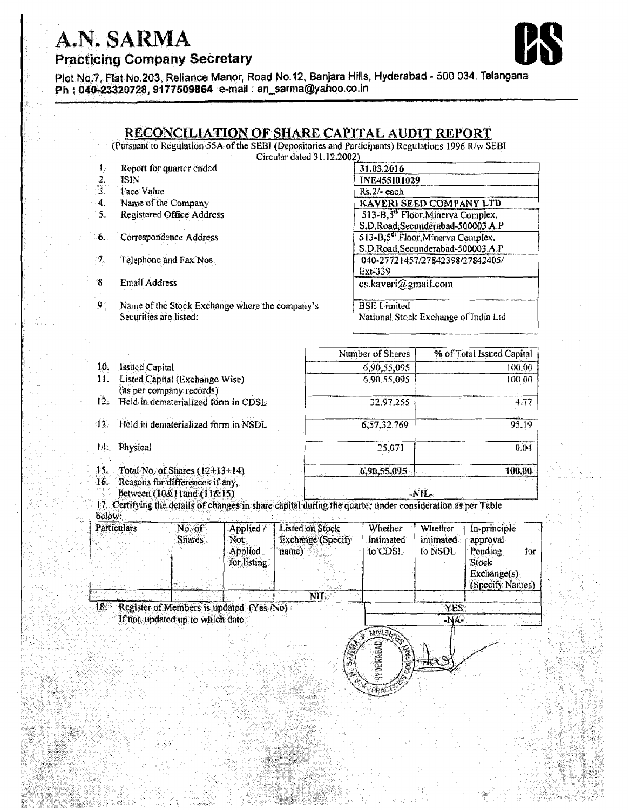## A.N. SARMA



**Practicing Company Secretary** 

Plot No.7, Flat No.203, Reliance Manor, Road No.12, Banjara Hills, Hyderabad - 500 034. Telangana Ph: 040-23320728, 9177509864 e-mail: an\_sarma@yahoo.co.in

## RECONCILIATION OF SHARE CAPITAL AUDIT REPORT

(Pursuant to Regulation 55A of the SEBI (Depositories and Participants) Regulations 1996 R/w SEBI

| <b>ISIN</b>                                    |                    |                                    |                                                                                                                                                                                        |                          |                                                                          |                                                                                                                                             |                                                                                                                                                                                                   |  |
|------------------------------------------------|--------------------|------------------------------------|----------------------------------------------------------------------------------------------------------------------------------------------------------------------------------------|--------------------------|--------------------------------------------------------------------------|---------------------------------------------------------------------------------------------------------------------------------------------|---------------------------------------------------------------------------------------------------------------------------------------------------------------------------------------------------|--|
| Face Value                                     |                    |                                    |                                                                                                                                                                                        | Rs.2/- each              |                                                                          |                                                                                                                                             |                                                                                                                                                                                                   |  |
| Name of the Company                            |                    |                                    |                                                                                                                                                                                        |                          | KAVERI SEED COMPANY LTD                                                  |                                                                                                                                             |                                                                                                                                                                                                   |  |
| <b>Registered Office Address</b>               |                    |                                    |                                                                                                                                                                                        |                          | 513-B,5 <sup>th</sup> Floor, Minerva Complex,                            |                                                                                                                                             |                                                                                                                                                                                                   |  |
|                                                |                    |                                    |                                                                                                                                                                                        |                          | S.D.Road, Secunderabad-500003.A.P                                        |                                                                                                                                             |                                                                                                                                                                                                   |  |
| 6.<br>Correspondence Address                   |                    |                                    |                                                                                                                                                                                        |                          | 513-B.5 <sup>th</sup> Floor, Minerva Complex,                            |                                                                                                                                             |                                                                                                                                                                                                   |  |
|                                                |                    |                                    |                                                                                                                                                                                        |                          | S.D.Road, Secunderabad-500003.A.P                                        |                                                                                                                                             |                                                                                                                                                                                                   |  |
| 7.<br>Telephone and Fax Nos.<br>$\mathbf{g}$ . |                    |                                    |                                                                                                                                                                                        |                          | 040-27721457/27842398/27842405/                                          |                                                                                                                                             |                                                                                                                                                                                                   |  |
|                                                |                    |                                    |                                                                                                                                                                                        |                          |                                                                          |                                                                                                                                             |                                                                                                                                                                                                   |  |
| Email Address                                  |                    |                                    |                                                                                                                                                                                        |                          |                                                                          |                                                                                                                                             |                                                                                                                                                                                                   |  |
| 9.                                             |                    |                                    |                                                                                                                                                                                        |                          |                                                                          |                                                                                                                                             |                                                                                                                                                                                                   |  |
| Securities are listed:                         |                    |                                    |                                                                                                                                                                                        |                          | National Stock Exchange of India Ltd                                     |                                                                                                                                             |                                                                                                                                                                                                   |  |
|                                                |                    |                                    |                                                                                                                                                                                        |                          |                                                                          |                                                                                                                                             |                                                                                                                                                                                                   |  |
|                                                |                    |                                    |                                                                                                                                                                                        |                          |                                                                          | % of Total Issued Capital                                                                                                                   |                                                                                                                                                                                                   |  |
| 10 <sub>1</sub><br><b>Issued Capital</b>       |                    |                                    |                                                                                                                                                                                        |                          |                                                                          | 100.00                                                                                                                                      |                                                                                                                                                                                                   |  |
| 11.                                            |                    |                                    |                                                                                                                                                                                        |                          |                                                                          |                                                                                                                                             | 100.00                                                                                                                                                                                            |  |
| 12.                                            |                    |                                    |                                                                                                                                                                                        |                          |                                                                          |                                                                                                                                             |                                                                                                                                                                                                   |  |
|                                                |                    |                                    |                                                                                                                                                                                        |                          |                                                                          | 4.77                                                                                                                                        |                                                                                                                                                                                                   |  |
| Held in dematerialized form in NSDL<br>13.     |                    |                                    |                                                                                                                                                                                        | 6,57,32,769<br>95.19     |                                                                          |                                                                                                                                             |                                                                                                                                                                                                   |  |
| 14. Physical                                   |                    |                                    |                                                                                                                                                                                        |                          | 25,071                                                                   |                                                                                                                                             | 0.04                                                                                                                                                                                              |  |
|                                                |                    |                                    |                                                                                                                                                                                        |                          |                                                                          |                                                                                                                                             | 100.00                                                                                                                                                                                            |  |
|                                                |                    |                                    |                                                                                                                                                                                        |                          |                                                                          |                                                                                                                                             |                                                                                                                                                                                                   |  |
| 16.<br>between (10&11and (11&15)               |                    |                                    |                                                                                                                                                                                        |                          | -NIL-                                                                    |                                                                                                                                             |                                                                                                                                                                                                   |  |
|                                                |                    |                                    |                                                                                                                                                                                        |                          |                                                                          |                                                                                                                                             |                                                                                                                                                                                                   |  |
|                                                |                    |                                    |                                                                                                                                                                                        |                          |                                                                          |                                                                                                                                             | In-principle                                                                                                                                                                                      |  |
|                                                | <b>Shares</b>      | Not:                               |                                                                                                                                                                                        | <b>Exchange (Specify</b> | <i>intimated</i>                                                         | intimated                                                                                                                                   | approval                                                                                                                                                                                          |  |
|                                                |                    | Applied                            | name)                                                                                                                                                                                  |                          | to CDSL                                                                  | to NSDL                                                                                                                                     | Pending<br>for                                                                                                                                                                                    |  |
|                                                |                    |                                    |                                                                                                                                                                                        |                          |                                                                          |                                                                                                                                             |                                                                                                                                                                                                   |  |
|                                                |                    |                                    |                                                                                                                                                                                        |                          |                                                                          |                                                                                                                                             |                                                                                                                                                                                                   |  |
|                                                |                    | for listing                        |                                                                                                                                                                                        |                          |                                                                          |                                                                                                                                             | Stock                                                                                                                                                                                             |  |
|                                                |                    |                                    |                                                                                                                                                                                        |                          |                                                                          |                                                                                                                                             | Exchange(s)                                                                                                                                                                                       |  |
|                                                |                    |                                    |                                                                                                                                                                                        | <b>NIL</b>               |                                                                          |                                                                                                                                             | (Specify Names)                                                                                                                                                                                   |  |
|                                                | <b>Particulars</b> | Report for quarter ended<br>No. of | Listed Capital (Exchange Wise)<br>(as per company records)<br>Held in dematerialized form in CDSL.<br>Total No. of Shares $(12+13+14)$<br>Reasons for differences if any,<br>Applied / |                          | Name of the Stock Exchange where the company's<br><b>Listed on Stock</b> | 31.03.2016<br>Ext-339<br><b>BSE</b> Limited<br>Number of Shares<br>6,90,55,095<br>6,90,55,095<br>32,97,255<br>6,90,55,095<br><b>Whether</b> | Circular dated 31.12.2002)<br><b>INE455101029</b><br>cs.kaveri@gmail.com<br>17. Certifying the details of changes in share capital during the quarter under consideration as per Table<br>Whether |  |

If not, updated up to which date

**INATE!** 唯民語

ppe